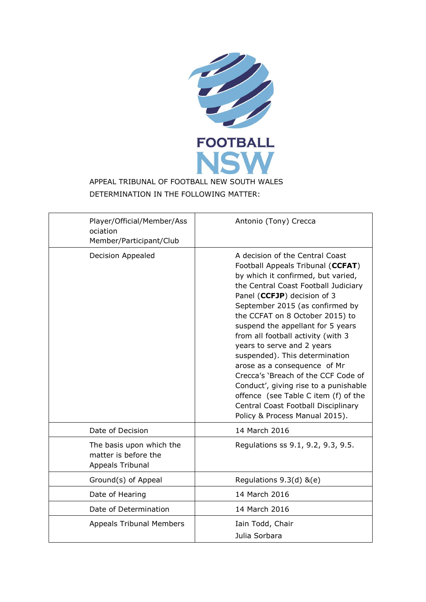

# APPEAL TRIBUNAL OF FOOTBALL NEW SOUTH WALES DETERMINATION IN THE FOLLOWING MATTER:

| Player/Official/Member/Ass<br>ociation<br>Member/Participant/Club    | Antonio (Tony) Crecca                                                                                                                                                                                                                                                                                                                                                                                                                                                                                                                                                                                                               |
|----------------------------------------------------------------------|-------------------------------------------------------------------------------------------------------------------------------------------------------------------------------------------------------------------------------------------------------------------------------------------------------------------------------------------------------------------------------------------------------------------------------------------------------------------------------------------------------------------------------------------------------------------------------------------------------------------------------------|
| Decision Appealed                                                    | A decision of the Central Coast<br>Football Appeals Tribunal (CCFAT)<br>by which it confirmed, but varied,<br>the Central Coast Football Judiciary<br>Panel (CCFJP) decision of 3<br>September 2015 (as confirmed by<br>the CCFAT on 8 October 2015) to<br>suspend the appellant for 5 years<br>from all football activity (with 3<br>years to serve and 2 years<br>suspended). This determination<br>arose as a consequence of Mr<br>Crecca's 'Breach of the CCF Code of<br>Conduct', giving rise to a punishable<br>offence (see Table C item (f) of the<br>Central Coast Football Disciplinary<br>Policy & Process Manual 2015). |
| Date of Decision                                                     | 14 March 2016                                                                                                                                                                                                                                                                                                                                                                                                                                                                                                                                                                                                                       |
| The basis upon which the<br>matter is before the<br>Appeals Tribunal | Regulations ss 9.1, 9.2, 9.3, 9.5.                                                                                                                                                                                                                                                                                                                                                                                                                                                                                                                                                                                                  |
| Ground(s) of Appeal                                                  | Regulations $9.3(d)$ &(e)                                                                                                                                                                                                                                                                                                                                                                                                                                                                                                                                                                                                           |
| Date of Hearing                                                      | 14 March 2016                                                                                                                                                                                                                                                                                                                                                                                                                                                                                                                                                                                                                       |
| Date of Determination                                                | 14 March 2016                                                                                                                                                                                                                                                                                                                                                                                                                                                                                                                                                                                                                       |
| <b>Appeals Tribunal Members</b>                                      | Iain Todd, Chair<br>Julia Sorbara                                                                                                                                                                                                                                                                                                                                                                                                                                                                                                                                                                                                   |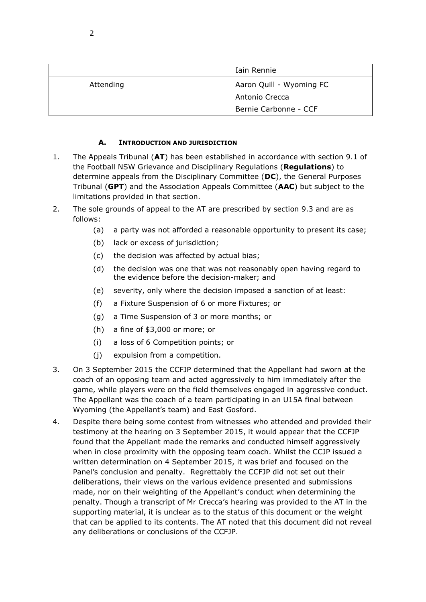|           | Iain Rennie              |
|-----------|--------------------------|
| Attending | Aaron Quill - Wyoming FC |
|           | Antonio Crecca           |
|           | Bernie Carbonne - CCF    |

#### **A. INTRODUCTION AND JURISDICTION**

- 1. The Appeals Tribunal (**AT**) has been established in accordance with section 9.1 of the Football NSW Grievance and Disciplinary Regulations (**Regulations**) to determine appeals from the Disciplinary Committee (**DC**), the General Purposes Tribunal (**GPT**) and the Association Appeals Committee (**AAC**) but subject to the limitations provided in that section.
- 2. The sole grounds of appeal to the AT are prescribed by section 9.3 and are as follows:
	- (a) a party was not afforded a reasonable opportunity to present its case;
	- (b) lack or excess of jurisdiction;
	- (c) the decision was affected by actual bias;
	- (d) the decision was one that was not reasonably open having regard to the evidence before the decision-maker; and
	- (e) severity, only where the decision imposed a sanction of at least:
	- (f) a Fixture Suspension of 6 or more Fixtures; or
	- (g) a Time Suspension of 3 or more months; or
	- (h) a fine of \$3,000 or more; or
	- (i) a loss of 6 Competition points; or
	- (j) expulsion from a competition.
- 3. On 3 September 2015 the CCFJP determined that the Appellant had sworn at the coach of an opposing team and acted aggressively to him immediately after the game, while players were on the field themselves engaged in aggressive conduct. The Appellant was the coach of a team participating in an U15A final between Wyoming (the Appellant's team) and East Gosford.
- 4. Despite there being some contest from witnesses who attended and provided their testimony at the hearing on 3 September 2015, it would appear that the CCFJP found that the Appellant made the remarks and conducted himself aggressively when in close proximity with the opposing team coach. Whilst the CCJP issued a written determination on 4 September 2015, it was brief and focused on the Panel's conclusion and penalty. Regrettably the CCFJP did not set out their deliberations, their views on the various evidence presented and submissions made, nor on their weighting of the Appellant's conduct when determining the penalty. Though a transcript of Mr Crecca's hearing was provided to the AT in the supporting material, it is unclear as to the status of this document or the weight that can be applied to its contents. The AT noted that this document did not reveal any deliberations or conclusions of the CCFJP.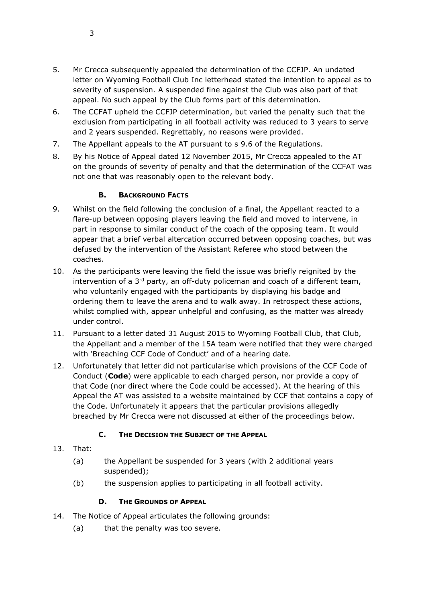- 5. Mr Crecca subsequently appealed the determination of the CCFJP. An undated letter on Wyoming Football Club Inc letterhead stated the intention to appeal as to severity of suspension. A suspended fine against the Club was also part of that appeal. No such appeal by the Club forms part of this determination.
- 6. The CCFAT upheld the CCFJP determination, but varied the penalty such that the exclusion from participating in all football activity was reduced to 3 years to serve and 2 years suspended. Regrettably, no reasons were provided.
- 7. The Appellant appeals to the AT pursuant to s 9.6 of the Regulations.
- 8. By his Notice of Appeal dated 12 November 2015, Mr Crecca appealed to the AT on the grounds of severity of penalty and that the determination of the CCFAT was not one that was reasonably open to the relevant body.

## **B. BACKGROUND FACTS**

- 9. Whilst on the field following the conclusion of a final, the Appellant reacted to a flare-up between opposing players leaving the field and moved to intervene, in part in response to similar conduct of the coach of the opposing team. It would appear that a brief verbal altercation occurred between opposing coaches, but was defused by the intervention of the Assistant Referee who stood between the coaches.
- 10. As the participants were leaving the field the issue was briefly reignited by the intervention of a 3<sup>rd</sup> party, an off-duty policeman and coach of a different team, who voluntarily engaged with the participants by displaying his badge and ordering them to leave the arena and to walk away. In retrospect these actions, whilst complied with, appear unhelpful and confusing, as the matter was already under control.
- 11. Pursuant to a letter dated 31 August 2015 to Wyoming Football Club, that Club, the Appellant and a member of the 15A team were notified that they were charged with 'Breaching CCF Code of Conduct' and of a hearing date.
- 12. Unfortunately that letter did not particularise which provisions of the CCF Code of Conduct (**Code**) were applicable to each charged person, nor provide a copy of that Code (nor direct where the Code could be accessed). At the hearing of this Appeal the AT was assisted to a website maintained by CCF that contains a copy of the Code. Unfortunately it appears that the particular provisions allegedly breached by Mr Crecca were not discussed at either of the proceedings below.

# **C. THE DECISION THE SUBJECT OF THE APPEAL**

- 13. That:
	- (a) the Appellant be suspended for 3 years (with 2 additional years suspended);
	- (b) the suspension applies to participating in all football activity.

#### **D. THE GROUNDS OF APPEAL**

- 14. The Notice of Appeal articulates the following grounds:
	- (a) that the penalty was too severe.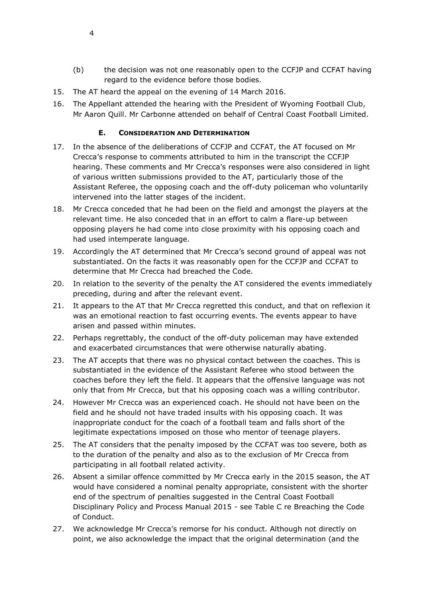- (b) the decision was not one reasonably open to the CCFJP and CCFAT having regard to the evidence before those bodies.
- 15. The AT heard the appeal on the evening of 14 March 2016.
- 16. The Appellant attended the hearing with the President of Wyoming Football Club, Mr Aaron Quill. Mr Carbonne attended on behalf of Central Coast Football Limited.

## **E. CONSIDERATION AND DETERMINATION**

- 17. In the absence of the deliberations of CCFJP and CCFAT, the AT focused on Mr Crecca's response to comments attributed to him in the transcript the CCFJP hearing. These comments and Mr Crecca's responses were also considered in light of various written submissions provided to the AT, particularly those of the Assistant Referee, the opposing coach and the off-duty policeman who voluntarily intervened into the latter stages of the incident.
- 18. Mr Crecca conceded that he had been on the field and amongst the players at the relevant time. He also conceded that in an effort to calm a flare-up between opposing players he had come into close proximity with his opposing coach and had used intemperate language.
- 19. Accordingly the AT determined that Mr Crecca's second ground of appeal was not substantiated. On the facts it was reasonably open for the CCFJP and CCFAT to determine that Mr Crecca had breached the Code.
- 20. In relation to the severity of the penalty the AT considered the events immediately preceding, during and after the relevant event.
- 21. It appears to the AT that Mr Crecca regretted this conduct, and that on reflexion it was an emotional reaction to fast occurring events. The events appear to have arisen and passed within minutes.
- 22. Perhaps regrettably, the conduct of the off-duty policeman may have extended and exacerbated circumstances that were otherwise naturally abating.
- 23. The AT accepts that there was no physical contact between the coaches. This is substantiated in the evidence of the Assistant Referee who stood between the coaches before they left the field. It appears that the offensive language was not only that from Mr Crecca, but that his opposing coach was a willing contributor.
- 24. However Mr Crecca was an experienced coach. He should not have been on the field and he should not have traded insults with his opposing coach. It was inappropriate conduct for the coach of a football team and falls short of the legitimate expectations imposed on those who mentor of teenage players.
- 25. The AT considers that the penalty imposed by the CCFAT was too severe, both as to the duration of the penalty and also as to the exclusion of Mr Crecca from participating in all football related activity.
- 26. Absent a similar offence committed by Mr Crecca early in the 2015 season, the AT would have considered a nominal penalty appropriate, consistent with the shorter end of the spectrum of penalties suggested in the Central Coast Football Disciplinary Policy and Process Manual 2015 - see Table C re Breaching the Code of Conduct.
- 27. We acknowledge Mr Crecca's remorse for his conduct. Although not directly on point, we also acknowledge the impact that the original determination (and the